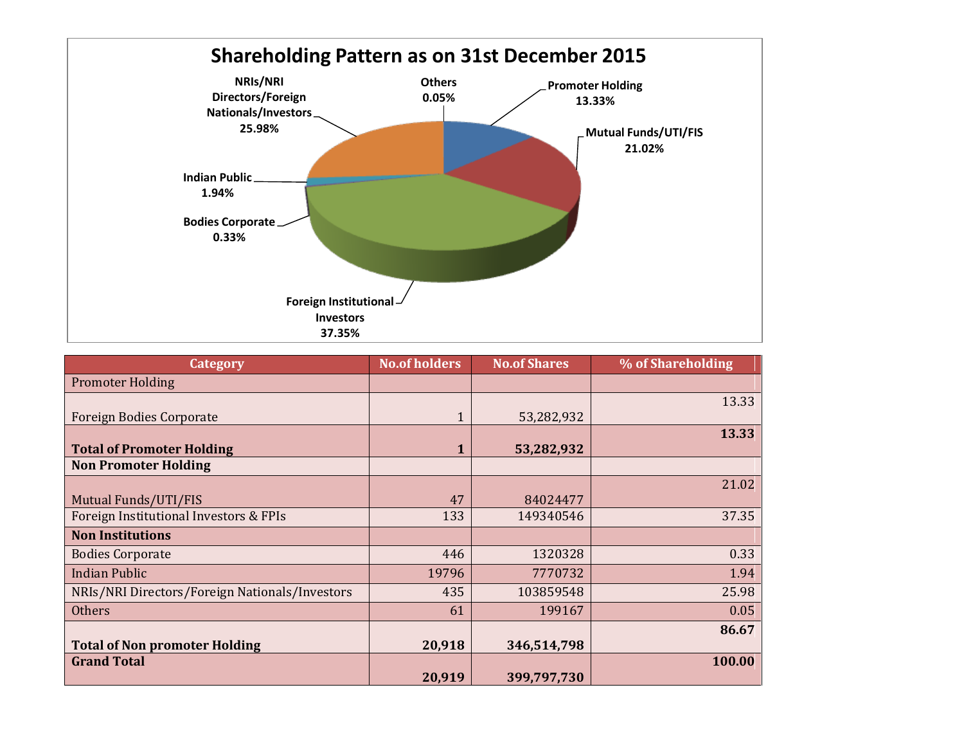

| <b>Category</b>                                | <b>No.of holders</b> | <b>No.of Shares</b> | % of Shareholding |
|------------------------------------------------|----------------------|---------------------|-------------------|
| <b>Promoter Holding</b>                        |                      |                     |                   |
| <b>Foreign Bodies Corporate</b>                | $\mathbf{1}$         | 53,282,932          | 13.33             |
| <b>Total of Promoter Holding</b>               | 1                    | 53,282,932          | 13.33             |
| <b>Non Promoter Holding</b>                    |                      |                     |                   |
| Mutual Funds/UTI/FIS                           | 47                   | 84024477            | 21.02             |
| Foreign Institutional Investors & FPIs         | 133                  | 149340546           | 37.35             |
| <b>Non Institutions</b>                        |                      |                     |                   |
| <b>Bodies Corporate</b>                        | 446                  | 1320328             | 0.33              |
| <b>Indian Public</b>                           | 19796                | 7770732             | 1.94              |
| NRIs/NRI Directors/Foreign Nationals/Investors | 435                  | 103859548           | 25.98             |
| <b>Others</b>                                  | 61                   | 199167              | 0.05              |
|                                                |                      |                     | 86.67             |
| <b>Total of Non promoter Holding</b>           | 20,918               | 346,514,798         |                   |
| <b>Grand Total</b>                             | 20,919               | 399,797,730         | 100.00            |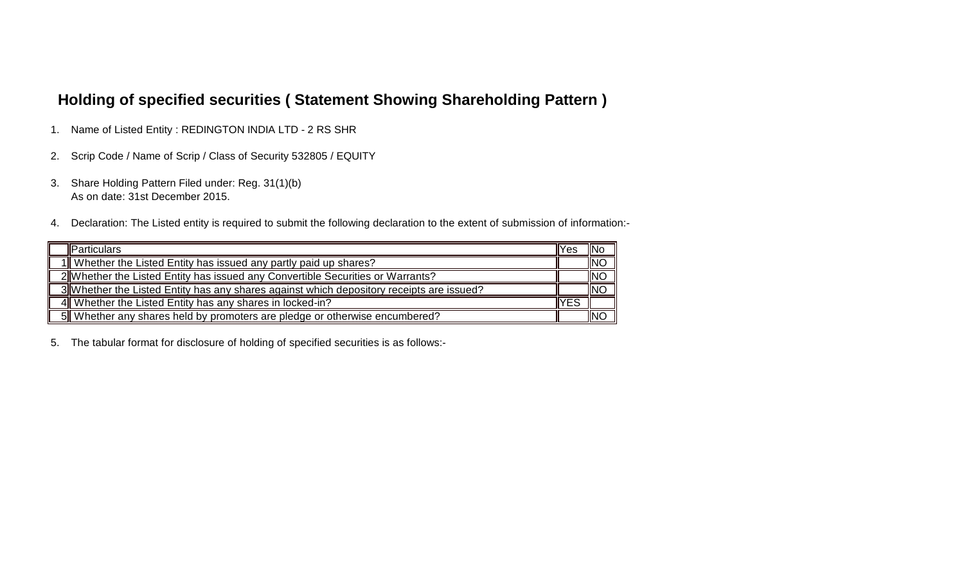## **Holding of specified securities ( Statement Showing Shareholding Pattern )**

- 1. Name of Listed Entity : REDINGTON INDIA LTD 2 RS SHR
- 2. Scrip Code / Name of Scrip / Class of Security 532805 / EQUITY
- 3. Share Holding Pattern Filed under: Reg. 31(1)(b) As on date: 31st December 2015.
- 4. Declaration: The Listed entity is required to submit the following declaration to the extent of submission of information:-

| <b>I</b> Particulars                                                                     | IYes | <b>INo</b> |
|------------------------------------------------------------------------------------------|------|------------|
| 1  Whether the Listed Entity has issued any partly paid up shares?                       |      | <b>INC</b> |
| 2 Whether the Listed Entity has issued any Convertible Securities or Warrants?           |      | <b>INO</b> |
| 3 Whether the Listed Entity has any shares against which depository receipts are issued? |      | <b>INC</b> |
| 4 Whether the Listed Entity has any shares in locked-in?                                 | lYES |            |
| 5 Whether any shares held by promoters are pledge or otherwise encumbered?               |      | <b>INC</b> |

5. The tabular format for disclosure of holding of specified securities is as follows:-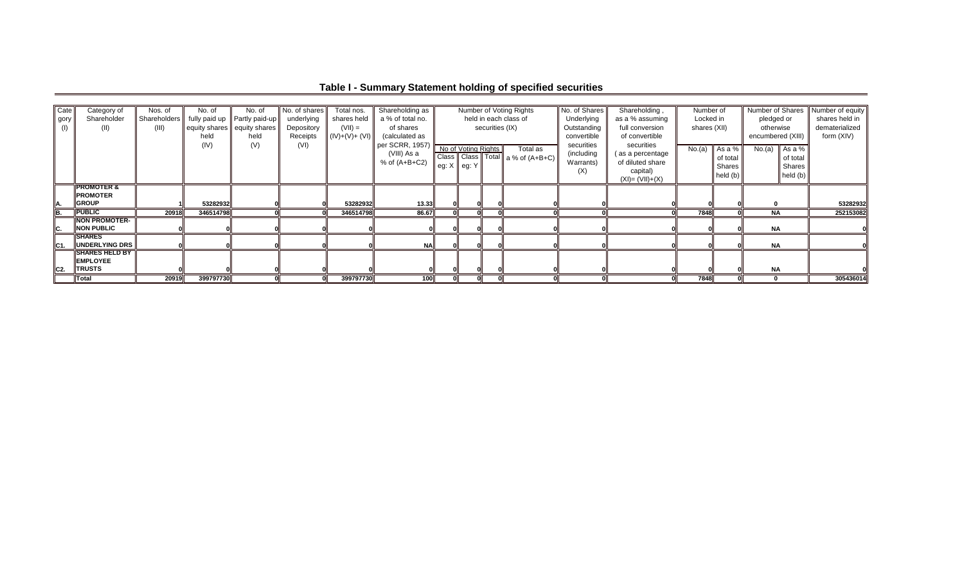| Cate            | Category of            | Nos. of      | No. of                      | No. of                         | No. of shares | Total nos.      | Shareholding as  |                       |                 | Number of Voting Rights          | No. of Shares   | Shareholding,      | Number of    |            | Number of Shares  | Number of equity |
|-----------------|------------------------|--------------|-----------------------------|--------------------------------|---------------|-----------------|------------------|-----------------------|-----------------|----------------------------------|-----------------|--------------------|--------------|------------|-------------------|------------------|
| gory            | Shareholder            | Shareholders |                             | fully paid up   Partly paid-up | underlying    | shares held     | a % of total no. | held in each class of |                 | Underlying                       | as a % assuming | Locked in          |              | pledged or | shares held in    |                  |
|                 | (II)                   | (III)        | equity shares equity shares |                                | Depository    | $(VII) =$       | of shares        |                       | securities (IX) |                                  | Outstanding     | full conversion    | shares (XII) |            | otherwise         | dematerialized   |
|                 |                        |              | held                        | held                           | Receipts      | $( V)+(V)+(V) $ | (calculated as   |                       |                 |                                  | convertible     | of convertible     |              |            | encumbered (XIII) | form (XIV)       |
|                 |                        |              | (IV)                        | (V)                            | (VI)          |                 | per SCRR, 1957)  |                       |                 | Total as                         | securities      | securities         |              |            |                   |                  |
|                 |                        |              |                             |                                |               |                 | (VIII) As a      | No of Votina Riahts   |                 | Class Class Total a % of (A+B+C) | (including      | as a percentage    | No.(a)       | As a %     | No.(a) As a %     |                  |
|                 |                        |              |                             |                                |               |                 | % of $(A+B+C2)$  |                       |                 |                                  | Warrants)       | of diluted share   |              | of total   | of total          |                  |
|                 |                        |              |                             |                                |               |                 |                  | eg: $X$   eg: $Y$     |                 |                                  | (X)             | capital)           |              | Shares     | Shares            |                  |
|                 |                        |              |                             |                                |               |                 |                  |                       |                 |                                  |                 | $(XI) = (VII)+(X)$ |              | held (b)   | held (b)          |                  |
|                 | <b>IPROMOTER &amp;</b> |              |                             |                                |               |                 |                  |                       |                 |                                  |                 |                    |              |            |                   |                  |
|                 | <b>PROMOTER</b>        |              |                             |                                |               |                 |                  |                       |                 |                                  |                 |                    |              |            |                   |                  |
|                 | <b>GROUP</b>           |              | 53282932                    |                                |               | 53282932        | 13.33            |                       |                 |                                  |                 |                    |              |            |                   | 53282932         |
| lB.             | <b>PUBLIC</b>          | 20918        | 346514798                   |                                |               | 346514798       | 86.67            |                       |                 |                                  |                 |                    | 7848         |            | $N$ A             | 252153082        |
|                 | <b>NON PROMOTER-</b>   |              |                             |                                |               |                 |                  |                       |                 |                                  |                 |                    |              |            |                   |                  |
|                 | <b>NON PUBLIC</b>      |              |                             |                                |               |                 |                  |                       |                 |                                  |                 |                    |              |            | <b>NA</b>         |                  |
|                 | <b>SHARES</b>          |              |                             |                                |               |                 |                  |                       |                 |                                  |                 |                    |              |            |                   |                  |
| IC <sub>1</sub> | UNDERLYING DRS         |              |                             |                                |               |                 | NA               |                       |                 |                                  |                 |                    |              |            | <b>NA</b>         |                  |
|                 | <b>SHARES HELD BY</b>  |              |                             |                                |               |                 |                  |                       |                 |                                  |                 |                    |              |            |                   |                  |
|                 | <b>IEMPLOYEE</b>       |              |                             |                                |               |                 |                  |                       |                 |                                  |                 |                    |              |            |                   |                  |
| IC2.            | <b>TRUSTS</b>          |              |                             |                                |               |                 |                  |                       |                 |                                  |                 |                    |              |            | <b>NA</b>         |                  |
|                 | Total                  | 20919        | 399797730                   |                                |               | 399797730       | 100ll            |                       |                 |                                  |                 |                    | 7848         |            |                   | 305436014        |

**Table I - Summary Statement holding of specified securities**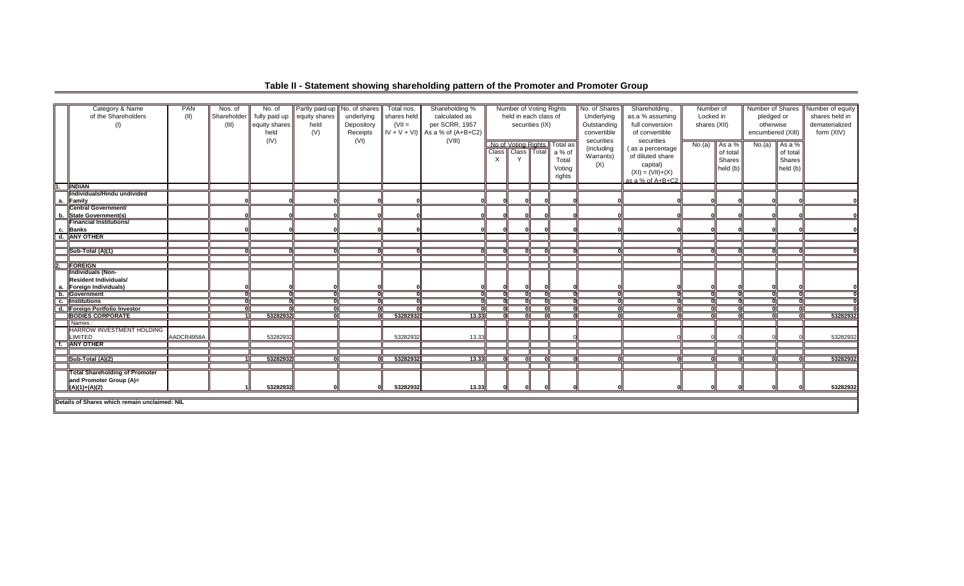| Category & Name<br>of the Shareholders<br>(1) | PAN<br>(II) | Nos. of<br>Shareholder<br>(III) | No. of<br>fully paid up<br>equity shares<br>held | Partly paid-up No. of shares<br>equity shares<br>held<br>(V) | underlying<br>Depository<br>Receipts | Total nos.<br>shares held<br>$(VII =$ | Shareholding %<br>calculated as<br>per SCRR, 1957<br>$IV + V + VI$ ) As a % of (A+B+C2) |       | Number of Voting Rights<br>held in each class of     | securities (IX) |                                                 | No. of Shares<br>Underlying<br>Outstanding<br>convertible | Shareholding,<br>as a % assuming<br>full conversion<br>of convertible                                    |        | Number of<br>Locked in<br>shares (XII)   |        |                                          |          | Number of Shares<br>pledged or<br>otherwise<br>encumbered (XIII) | Number of equity<br>shares held in<br>dematerialized<br>form (XIV) |
|-----------------------------------------------|-------------|---------------------------------|--------------------------------------------------|--------------------------------------------------------------|--------------------------------------|---------------------------------------|-----------------------------------------------------------------------------------------|-------|------------------------------------------------------|-----------------|-------------------------------------------------|-----------------------------------------------------------|----------------------------------------------------------------------------------------------------------|--------|------------------------------------------|--------|------------------------------------------|----------|------------------------------------------------------------------|--------------------------------------------------------------------|
|                                               |             |                                 | (IV)                                             |                                                              | (VI)                                 |                                       | (VIII)                                                                                  | Class | No of Voting Rights<br>Class   Total<br>$\checkmark$ |                 | Total as<br>a % of<br>Total<br>Voting<br>rights | securities<br>(including<br>Warrants)<br>(X)              | securities<br>(as a percentage<br>of diluted share<br>capital)<br>$(XI) = (VII)+(X)$<br>as a % of A+B+C2 | No.(a) | As a %<br>of total<br>Shares<br>held (b) | No.(a) | As a %<br>of total<br>Shares<br>held (b) |          |                                                                  |                                                                    |
| 1. <b>INDIAN</b>                              |             |                                 |                                                  |                                                              |                                      |                                       |                                                                                         |       |                                                      |                 |                                                 |                                                           |                                                                                                          |        |                                          |        |                                          |          |                                                                  |                                                                    |
| Individuals/Hindu undivided                   |             |                                 |                                                  |                                                              |                                      |                                       |                                                                                         |       |                                                      |                 |                                                 |                                                           |                                                                                                          |        |                                          |        |                                          |          |                                                                  |                                                                    |
| a. Family                                     |             |                                 |                                                  |                                                              |                                      |                                       |                                                                                         |       |                                                      |                 |                                                 |                                                           |                                                                                                          |        |                                          |        |                                          |          |                                                                  |                                                                    |
| Central Government/                           |             |                                 |                                                  |                                                              |                                      |                                       |                                                                                         |       |                                                      |                 |                                                 |                                                           |                                                                                                          |        |                                          |        |                                          |          |                                                                  |                                                                    |
| b. State Government(s)                        |             |                                 |                                                  |                                                              |                                      |                                       |                                                                                         |       |                                                      |                 |                                                 |                                                           |                                                                                                          |        |                                          |        |                                          |          |                                                                  |                                                                    |
| <b>Financial Institutions/</b>                |             |                                 |                                                  |                                                              |                                      |                                       |                                                                                         |       |                                                      |                 |                                                 |                                                           |                                                                                                          |        |                                          |        |                                          |          |                                                                  |                                                                    |
| c. Banks                                      |             |                                 |                                                  |                                                              |                                      |                                       |                                                                                         |       |                                                      |                 |                                                 |                                                           |                                                                                                          |        |                                          |        |                                          |          |                                                                  |                                                                    |
| d. ANY OTHER                                  |             |                                 |                                                  |                                                              |                                      |                                       |                                                                                         |       |                                                      |                 |                                                 |                                                           |                                                                                                          |        |                                          |        |                                          |          |                                                                  |                                                                    |
|                                               |             |                                 |                                                  |                                                              |                                      |                                       |                                                                                         |       |                                                      |                 |                                                 |                                                           |                                                                                                          |        |                                          |        |                                          |          |                                                                  |                                                                    |
| Sub-Total (A)(1)                              |             |                                 |                                                  | ωı                                                           | ി                                    |                                       | ΩI                                                                                      |       | n                                                    |                 |                                                 |                                                           |                                                                                                          |        |                                          |        |                                          |          |                                                                  |                                                                    |
|                                               |             |                                 |                                                  |                                                              |                                      |                                       |                                                                                         |       |                                                      |                 |                                                 |                                                           |                                                                                                          |        |                                          |        |                                          |          |                                                                  |                                                                    |
| 2. FOREIGN                                    |             |                                 |                                                  |                                                              |                                      |                                       |                                                                                         |       |                                                      |                 |                                                 |                                                           |                                                                                                          |        |                                          |        |                                          |          |                                                                  |                                                                    |
| <b>Individuals (Non-</b>                      |             |                                 |                                                  |                                                              |                                      |                                       |                                                                                         |       |                                                      |                 |                                                 |                                                           |                                                                                                          |        |                                          |        |                                          |          |                                                                  |                                                                    |
| Resident Individuals/                         |             |                                 |                                                  |                                                              |                                      |                                       |                                                                                         |       |                                                      |                 |                                                 |                                                           |                                                                                                          |        |                                          |        |                                          |          |                                                                  |                                                                    |
| a. Foreign Individuals)                       |             |                                 |                                                  |                                                              |                                      |                                       |                                                                                         |       |                                                      |                 |                                                 |                                                           |                                                                                                          |        |                                          |        |                                          |          |                                                                  |                                                                    |
| b. Government                                 |             |                                 | Ωl                                               | ᇭ                                                            | ᇭ                                    |                                       | O١                                                                                      |       |                                                      |                 |                                                 |                                                           |                                                                                                          |        |                                          |        |                                          |          |                                                                  |                                                                    |
| c. Institutions                               |             |                                 |                                                  | កា                                                           | 70                                   |                                       | nΙ                                                                                      |       | n                                                    |                 |                                                 |                                                           |                                                                                                          |        |                                          |        |                                          | 70       |                                                                  |                                                                    |
| d. Foreign Portfolio Investor                 |             |                                 |                                                  | ਨ।                                                           | $\overline{0}$                       |                                       |                                                                                         |       |                                                      |                 |                                                 |                                                           |                                                                                                          |        |                                          |        |                                          |          |                                                                  |                                                                    |
| <b>BODIES CORPORATE</b>                       |             |                                 | 53282932                                         | oľ                                                           | $\Omega$                             | 53282932                              | 13.33                                                                                   |       | n                                                    |                 |                                                 |                                                           |                                                                                                          |        |                                          |        |                                          | 53282932 |                                                                  |                                                                    |
| Names:                                        |             |                                 |                                                  |                                                              |                                      |                                       |                                                                                         |       |                                                      |                 |                                                 |                                                           |                                                                                                          |        |                                          |        |                                          |          |                                                                  |                                                                    |
| <b>HARROW INVESTMENT HOLDING</b>              |             |                                 |                                                  |                                                              |                                      |                                       |                                                                                         |       |                                                      |                 |                                                 |                                                           |                                                                                                          |        |                                          |        |                                          |          |                                                                  |                                                                    |
| <b>LIMITED</b>                                | AADCR4958A  |                                 | 53282932                                         |                                                              |                                      | 53282932                              | 13.33                                                                                   |       |                                                      |                 |                                                 |                                                           |                                                                                                          |        |                                          |        |                                          | 53282932 |                                                                  |                                                                    |
| <b>f. ANY OTHER</b>                           |             |                                 |                                                  |                                                              |                                      |                                       |                                                                                         |       |                                                      |                 |                                                 |                                                           |                                                                                                          |        |                                          |        |                                          |          |                                                                  |                                                                    |
|                                               |             |                                 |                                                  |                                                              |                                      |                                       |                                                                                         |       |                                                      |                 |                                                 |                                                           |                                                                                                          |        |                                          |        |                                          |          |                                                                  |                                                                    |
| Sub-Total (A)(2)                              |             |                                 | 53282932                                         | ωı                                                           | ി                                    | 53282932                              | 13.33                                                                                   |       | ΩI                                                   |                 |                                                 |                                                           |                                                                                                          |        |                                          |        |                                          | 53282932 |                                                                  |                                                                    |
|                                               |             |                                 |                                                  |                                                              |                                      |                                       |                                                                                         |       |                                                      |                 |                                                 |                                                           |                                                                                                          |        |                                          |        |                                          |          |                                                                  |                                                                    |
| <b>Total Shareholding of Promoter</b>         |             |                                 |                                                  |                                                              |                                      |                                       |                                                                                         |       |                                                      |                 |                                                 |                                                           |                                                                                                          |        |                                          |        |                                          |          |                                                                  |                                                                    |
| and Promoter Group (A)=                       |             |                                 |                                                  |                                                              |                                      |                                       |                                                                                         |       |                                                      |                 |                                                 |                                                           |                                                                                                          |        |                                          |        |                                          |          |                                                                  |                                                                    |
| $(A)(1)+(A)(2)$                               |             |                                 | 53282932                                         |                                                              |                                      | 53282932                              | 13.33                                                                                   |       |                                                      |                 |                                                 |                                                           |                                                                                                          |        |                                          |        |                                          | 53282932 |                                                                  |                                                                    |
|                                               |             |                                 |                                                  |                                                              |                                      |                                       |                                                                                         |       |                                                      |                 |                                                 |                                                           |                                                                                                          |        |                                          |        |                                          |          |                                                                  |                                                                    |
| Details of Shares which remain unclaimed: NIL |             |                                 |                                                  |                                                              |                                      |                                       |                                                                                         |       |                                                      |                 |                                                 |                                                           |                                                                                                          |        |                                          |        |                                          |          |                                                                  |                                                                    |

## **Table II - Statement showing shareholding pattern of the Promoter and Promoter Group**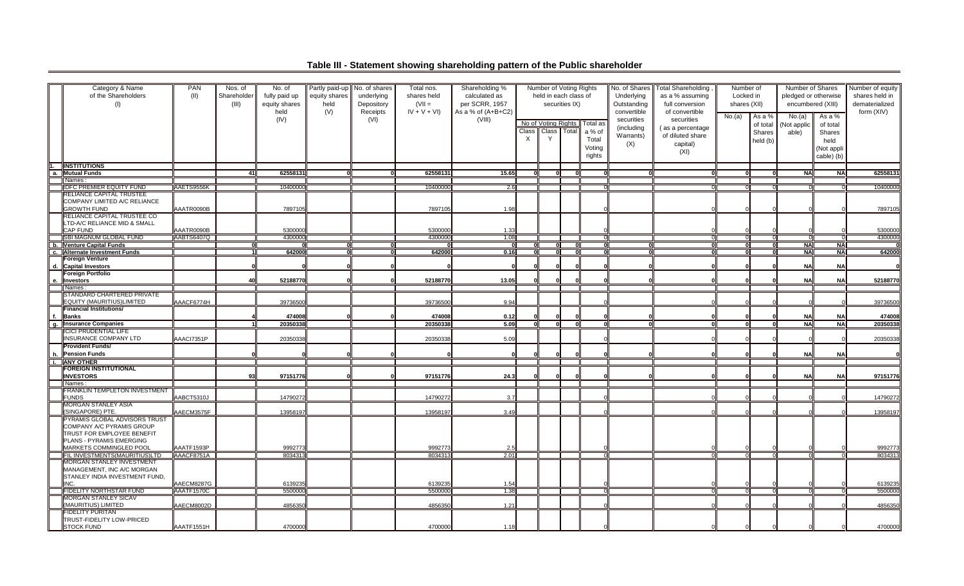**Table III - Statement showing shareholding pattern of the Public shareholder**

|     | Category & Name<br>of the Shareholders<br>(1)                                                                                                   | <b>PAN</b><br>(11) | Nos. of<br>Shareholder<br>(III) | No. of<br>fully paid up<br>equity shares | Partly paid-up<br>equity shares<br>held | No. of shares<br>underlying<br>Depository | Total nos.<br>shares held<br>$(VII =$ | Shareholding %<br>calculated as<br>per SCRR, 1957 |              | Number of Voting Rights<br>held in each class of | securities IX) |                                                 | No. of Shares<br>Underlying<br>Outstanding                  | <b>Total Shareholding</b><br>as a % assuming<br>full conversion                          |        | Number of<br>Locked in<br>shares (XII)   |                                | Number of Shares<br>pledged or otherwise<br>encumbered (XIII)    | Number of equity<br>shares held in<br>dematerialized<br>form (XIV) |
|-----|-------------------------------------------------------------------------------------------------------------------------------------------------|--------------------|---------------------------------|------------------------------------------|-----------------------------------------|-------------------------------------------|---------------------------------------|---------------------------------------------------|--------------|--------------------------------------------------|----------------|-------------------------------------------------|-------------------------------------------------------------|------------------------------------------------------------------------------------------|--------|------------------------------------------|--------------------------------|------------------------------------------------------------------|--------------------------------------------------------------------|
|     |                                                                                                                                                 |                    |                                 | held<br>(IV)                             | (V)                                     | Receipts<br>(VI)                          | $IV + V + VI$                         | As a % of $(A+B+C2)$<br>(VIII)                    | $\mathsf{X}$ | No of Voting Rights<br>Class Class Total<br>Y    |                | Total as<br>a % of<br>Total<br>Voting<br>rights | convertible<br>securities<br>(including<br>Warrants)<br>(X) | of convertible<br>securities<br>(as a percentage<br>of diluted share<br>capital)<br>(XI) | No.(a) | As a %<br>of total<br>Shares<br>held (b) | No.(a)<br>(Not applic<br>able) | As a %<br>of total<br>Shares<br>held<br>(Not appli<br>cable) (b) |                                                                    |
| ī.  | <b>INSTITUTIONS</b>                                                                                                                             |                    |                                 |                                          |                                         |                                           |                                       |                                                   |              |                                                  |                |                                                 |                                                             |                                                                                          |        |                                          |                                |                                                                  |                                                                    |
|     | a. Mutual Funds                                                                                                                                 |                    | -41 I                           | 62558131                                 |                                         |                                           | 62558131                              | 15.65                                             |              |                                                  |                |                                                 |                                                             |                                                                                          |        |                                          | <b>NAI</b>                     | <b>NAI</b>                                                       | 62558131                                                           |
|     | Names:                                                                                                                                          |                    |                                 |                                          |                                         |                                           |                                       |                                                   |              |                                                  |                |                                                 |                                                             |                                                                                          |        |                                          |                                |                                                                  |                                                                    |
|     | <b>IDFC PREMIER EQUITY FUND</b>                                                                                                                 | AAETS9556K         |                                 | 10400000                                 |                                         |                                           | 10400000                              | 2.6                                               |              |                                                  |                |                                                 |                                                             | ா                                                                                        |        |                                          | $\Omega$                       |                                                                  | 10400000                                                           |
|     | RELIANCE CAPITAL TRUSTEE<br>COMPANY LIMITED A/C RELIANCE<br><b>GROWTH FUND</b>                                                                  | AAATR0090B         |                                 | 7897105                                  |                                         |                                           | 7897105                               | 1.98                                              |              |                                                  |                |                                                 |                                                             |                                                                                          |        |                                          |                                |                                                                  | 7897105                                                            |
|     | RELIANCE CAPITAL TRUSTEE CO<br>LTD-A/C RELIANCE MID & SMALL<br>CAP FUND                                                                         | AAATR0090B         |                                 | 5300000                                  |                                         |                                           | 5300000                               | 1.33                                              |              |                                                  |                |                                                 |                                                             |                                                                                          |        |                                          |                                |                                                                  | 5300000                                                            |
|     | <b>SBI MAGNUM GLOBAL FUND</b>                                                                                                                   | AABTS6407Q         |                                 | 4300000                                  |                                         |                                           | 4300000                               | 1.08                                              |              |                                                  |                |                                                 |                                                             |                                                                                          |        |                                          | - 0                            | ∩.                                                               | 4300000                                                            |
|     | b. Venture Capital Funds                                                                                                                        |                    |                                 |                                          |                                         |                                           |                                       |                                                   |              |                                                  |                |                                                 |                                                             |                                                                                          |        |                                          | <b>NA</b>                      | <b>NAI</b>                                                       |                                                                    |
|     | <b>C.</b> Alternate Investment Funds                                                                                                            |                    |                                 | 642000                                   |                                         | ol                                        | 642000                                | 0.16                                              | O            | ΟII                                              |                |                                                 |                                                             | 0l                                                                                       | ol     |                                          | <b>NA</b>                      | <b>NA</b>                                                        | 642000                                                             |
|     | <b>Foreign Venture</b>                                                                                                                          |                    |                                 |                                          |                                         |                                           |                                       |                                                   |              |                                                  |                |                                                 |                                                             |                                                                                          |        |                                          |                                |                                                                  |                                                                    |
| d.  | <b>Capital Investors</b>                                                                                                                        |                    |                                 |                                          |                                         |                                           |                                       |                                                   |              |                                                  |                |                                                 |                                                             |                                                                                          |        |                                          | <b>NA</b>                      | <b>NA</b>                                                        |                                                                    |
|     | <b>Foreign Portfolio</b><br>e. Investors<br>Names:                                                                                              |                    |                                 | 52188770                                 |                                         |                                           | 52188770                              | 13.05                                             |              |                                                  |                |                                                 |                                                             |                                                                                          |        |                                          | <b>NA</b>                      | <b>NA</b>                                                        | 52188770                                                           |
|     | STANDARD CHARTERED PRIVATE                                                                                                                      |                    |                                 |                                          |                                         |                                           |                                       |                                                   |              |                                                  |                |                                                 |                                                             |                                                                                          |        |                                          |                                |                                                                  |                                                                    |
|     | EQUITY (MAURITIUS)LIMITED<br><b>Financial Institutions/</b>                                                                                     | AAACF6774H         |                                 | 39736500                                 |                                         |                                           | 39736500                              | 9.94                                              |              |                                                  |                |                                                 |                                                             |                                                                                          |        |                                          |                                |                                                                  | 39736500                                                           |
| lf. | Banks                                                                                                                                           |                    |                                 | 474008                                   |                                         |                                           | 474008                                | 0.12                                              |              |                                                  |                |                                                 |                                                             |                                                                                          |        |                                          | <b>NA</b>                      | <b>NA</b>                                                        | 474008                                                             |
| g.  | <b>Insurance Companies</b>                                                                                                                      |                    |                                 | 20350338                                 |                                         |                                           | 20350338                              | 5.09                                              | 0            | ਗ                                                | $\Omega$       |                                                 |                                                             | 0                                                                                        | 0      |                                          | <b>NA</b>                      | <b>NA</b>                                                        | 20350338                                                           |
|     | <b>ICICI PRUDENTIAL LIFE</b><br><b>INSURANCE COMPANY LTD</b>                                                                                    | AAACI7351P         |                                 | 20350338                                 |                                         |                                           | 20350338                              | 5.09                                              |              |                                                  |                |                                                 |                                                             |                                                                                          |        |                                          |                                |                                                                  | 20350338                                                           |
| h.  | <b>Provident Funds/</b><br><b>Pension Funds</b>                                                                                                 |                    |                                 |                                          |                                         |                                           |                                       |                                                   |              |                                                  |                |                                                 |                                                             |                                                                                          |        |                                          | <b>NA</b>                      | NA                                                               |                                                                    |
|     | <b>I.</b> ANY OTHER                                                                                                                             |                    |                                 |                                          |                                         |                                           |                                       |                                                   |              |                                                  |                |                                                 |                                                             |                                                                                          |        |                                          |                                |                                                                  |                                                                    |
|     | FOREIGN INSTITUTIONAL<br><b>INVESTORS</b><br>Names:                                                                                             |                    | 93                              | 97151776                                 |                                         |                                           | 97151776                              | 24.3                                              |              |                                                  |                |                                                 |                                                             |                                                                                          |        |                                          | <b>NA</b>                      | <b>NAI</b>                                                       | 97151776                                                           |
|     | FRANKLIN TEMPLETON INVESTMENT                                                                                                                   |                    |                                 |                                          |                                         |                                           |                                       |                                                   |              |                                                  |                |                                                 |                                                             |                                                                                          |        |                                          |                                |                                                                  |                                                                    |
|     | <b>FUNDS</b>                                                                                                                                    | AABCT5310J         |                                 | 14790272                                 |                                         |                                           | 14790272                              | 3.7                                               |              |                                                  |                |                                                 |                                                             |                                                                                          |        |                                          |                                |                                                                  | 14790272                                                           |
|     | <b>MORGAN STANLEY ASIA</b><br>(SINGAPORE) PTE.                                                                                                  | AAECM3575F         |                                 | 13958197                                 |                                         |                                           | 13958197                              | 3.49                                              |              |                                                  |                |                                                 |                                                             |                                                                                          |        |                                          |                                |                                                                  | 13958197                                                           |
|     | PYRAMIS GLOBAL ADVISORS TRUST<br>COMPANY A/C PYRAMIS GROUP<br>TRUST FOR EMPLOYEE BENEFIT<br>PLANS - PYRAMIS EMERGING<br>MARKETS COMMINGLED POOL | AAATF1593P         |                                 | 9992773                                  |                                         |                                           | 9992773                               | 2.5                                               |              |                                                  |                |                                                 |                                                             |                                                                                          |        |                                          |                                |                                                                  |                                                                    |
|     | FIL INVESTMENTS(MAURITIUS)LTD                                                                                                                   | AAACF8751A         |                                 | 8034313                                  |                                         |                                           | 8034313                               | 2.01                                              |              |                                                  |                |                                                 |                                                             | $\Omega$                                                                                 |        |                                          |                                |                                                                  | 9992773<br>8034313                                                 |
|     | <b>MORGAN STANLEY INVESTMENT</b><br>MANAGEMENT, INC A/C MORGAN<br>STANLEY INDIA INVESTMENT FUND,                                                |                    |                                 |                                          |                                         |                                           |                                       |                                                   |              |                                                  |                |                                                 |                                                             |                                                                                          |        |                                          |                                |                                                                  |                                                                    |
|     | NC.                                                                                                                                             | AAECM8287G         |                                 | 6139235                                  |                                         |                                           | 613923                                | 1.54                                              |              |                                                  |                |                                                 |                                                             |                                                                                          |        |                                          |                                |                                                                  | 6139235                                                            |
|     | <b>FIDELITY NORTHSTAR FUND</b>                                                                                                                  | AAATF1570C         |                                 | 5500000                                  |                                         |                                           | 5500000                               | 1.38                                              |              |                                                  |                |                                                 |                                                             | $\Omega$                                                                                 |        |                                          |                                |                                                                  | 5500000                                                            |
|     | MORGAN STANLEY SICAV<br>(MAURITIUS) LIMITED                                                                                                     | AAECM8002D         |                                 | 4856350                                  |                                         |                                           | 4856350                               | 1.21                                              |              |                                                  |                |                                                 |                                                             |                                                                                          |        |                                          |                                |                                                                  | 4856350                                                            |
|     | FIDELITY PURITAN<br>TRUST-FIDELITY LOW-PRICED<br><b>STOCK FUND</b>                                                                              | AAATF1551H         |                                 | 4700000                                  |                                         |                                           | 4700000                               | 1.18                                              |              |                                                  |                |                                                 |                                                             |                                                                                          |        |                                          |                                |                                                                  | 4700000                                                            |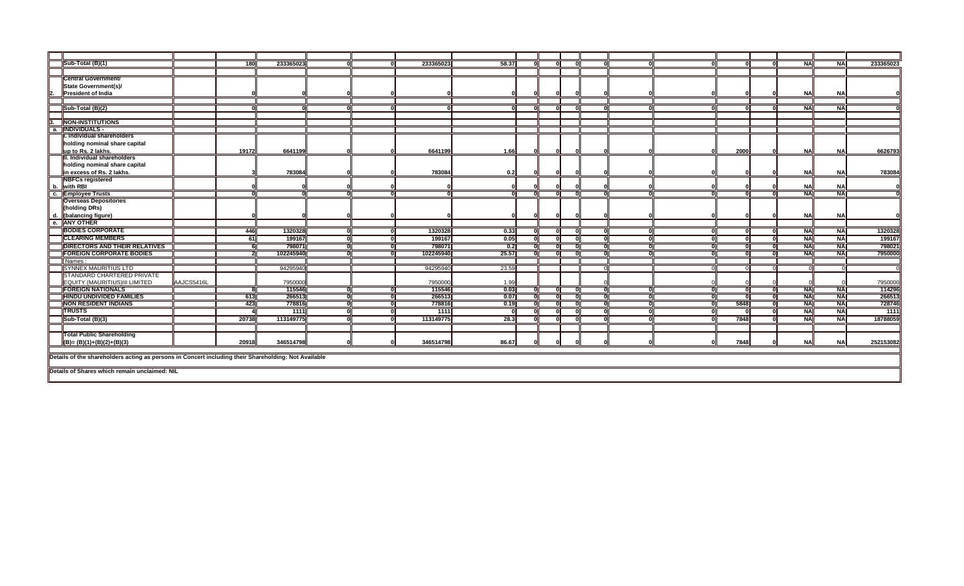|                  | Sub-Total (B)(1)                      |            | 180   | 233365023 |    | 233365023 | 58.37            |  |              |  |      | <b>NA</b>       | <b>NAI</b>       | 233365023 |
|------------------|---------------------------------------|------------|-------|-----------|----|-----------|------------------|--|--------------|--|------|-----------------|------------------|-----------|
|                  |                                       |            |       |           |    |           |                  |  |              |  |      |                 |                  |           |
|                  | <b>Central Government/</b>            |            |       |           |    |           |                  |  |              |  |      |                 |                  |           |
|                  | State Government(s)/                  |            |       |           |    |           |                  |  |              |  |      |                 |                  |           |
| 2.               | <b>President of India</b>             |            |       |           |    |           |                  |  |              |  |      | <b>NA</b>       | NA               |           |
|                  |                                       |            |       |           |    |           |                  |  |              |  |      |                 |                  |           |
|                  | Sub-Total (B)(2)                      |            |       |           |    |           |                  |  |              |  |      | <b>NA</b>       | <b>NAI</b>       |           |
|                  |                                       |            |       |           |    |           |                  |  |              |  |      |                 |                  |           |
| $3 -$            | <b>NON-INSTITUTIONS</b>               |            |       |           |    |           |                  |  |              |  |      |                 |                  |           |
| $\overline{a}$ . | <b>INDIVIDUALS -</b>                  |            |       |           |    |           |                  |  |              |  |      |                 |                  |           |
|                  | . Individual shareholders             |            |       |           |    |           |                  |  |              |  |      |                 |                  |           |
|                  | holding nominal share capital         |            |       |           |    |           |                  |  |              |  |      |                 |                  |           |
|                  | up to Rs. 2 lakhs.                    |            | 19172 | 6641199   |    | 6641199   | 1.66             |  |              |  | 2000 | <b>NAI</b>      | NA               | 6626793   |
|                  | III. Individual shareholders          |            |       |           |    |           |                  |  |              |  |      |                 |                  |           |
|                  | holding nominal share capital         |            |       |           |    |           |                  |  |              |  |      |                 |                  |           |
|                  | in excess of Rs. 2 lakhs.             |            |       | 783084    |    | 783084    | 0.2              |  |              |  |      | <b>NA</b>       | NA               | 783084    |
|                  | <b>NBFCs registered</b>               |            |       |           |    |           |                  |  |              |  |      |                 |                  |           |
|                  | b. with RBI                           |            |       |           |    |           |                  |  |              |  |      | <b>NA</b>       | NA<br><b>NAI</b> |           |
| Гc.              | <b>Employee Trusts</b>                |            |       |           |    |           |                  |  |              |  |      | $N_A$           |                  |           |
|                  | <b>Overseas Depositories</b>          |            |       |           |    |           |                  |  |              |  |      |                 |                  |           |
|                  | (holding DRs)<br>(balancing figure)   |            |       |           |    |           |                  |  |              |  |      | <b>NA</b>       | NA               |           |
| l d.<br>е.       | <b>ANY OTHER</b>                      |            |       |           |    |           |                  |  |              |  |      |                 |                  |           |
|                  | <b>BODIES CORPORATE</b>               |            |       | 1320328   | ΩI | 1320328   |                  |  |              |  |      |                 |                  | 1320328   |
|                  | <b>CLEARING MEMBERS</b>               |            | 446   |           |    |           | 0.33             |  | - 0          |  |      | <b>NA</b>       | <b>NAI</b>       |           |
|                  |                                       |            | 61    | 199167    | ΩI | 199167    | 0.05             |  | $\mathbf{r}$ |  |      | $\overline{NA}$ | <b>NAI</b>       | 199167    |
|                  | <b>DIRECTORS AND THEIR RELATIVES</b>  |            |       | 798071    | ΩI | 798071    | $\overline{0.2}$ |  |              |  |      | <b>NA</b>       | <b>NAI</b>       | 798021    |
|                  | <b>FOREIGN CORPORATE BODIES</b>       |            |       | 102245940 | ി  | 102245940 | 25.57            |  |              |  |      | <b>NA</b>       | <b>NA</b>        | 7950000   |
|                  | Names:<br><b>SYNNEX MAURITIUS LTD</b> |            |       | 94295940  |    | 94295940  | 23.59            |  |              |  |      |                 |                  |           |
|                  | <b>STANDARD CHARTERED PRIVATE</b>     |            |       |           |    |           |                  |  |              |  |      |                 |                  |           |
|                  | EQUITY (MAURITIUS)III LIMITED         | AAJCS5416L |       | 7950000   |    | 7950000   | 1.99             |  |              |  |      |                 |                  | 7950000   |
|                  | <b>FOREIGN NATIONALS</b>              |            |       | 115546    | 0l | 115546    | 0.03             |  |              |  |      | <b>NA</b>       | <b>NAI</b>       | 114296    |
|                  | <b>HINDU UNDIVIDED FAMILIES</b>       |            | 613   | 266513    | ᆔ  | 266513    | 0.07             |  |              |  |      | <b>NA</b>       | <b>NAI</b>       | 266513    |
|                  | <b>NON RESIDENT INDIANS</b>           |            | 423   | 778816    | ᠗  | 778816    | 0.19             |  |              |  | 5848 | <b>NA</b>       | <b>NAI</b>       | 728746    |
|                  | <b>TRUSTS</b>                         |            |       | 1111      | ்  | 1111      |                  |  | n            |  |      | <b>NA</b>       | $\overline{N}$   | $-1111$   |
|                  | Sub-Total (B)(3)                      |            | 20738 | 113149775 | ΩI | 113149775 | 28.3             |  |              |  | 7848 | <b>NA</b>       | <b>NA</b>        | 18788059  |
|                  |                                       |            |       |           |    |           |                  |  |              |  |      |                 |                  |           |
|                  | <b>Total Public Shareholding</b>      |            |       |           |    |           |                  |  |              |  |      |                 |                  |           |
|                  | $(B) = (B)(1)+(B)(2)+(B)(3)$          |            | 20918 | 346514798 |    | 346514798 | 86.67            |  |              |  | 7848 | <b>NA</b>       | NAI              | 252153082 |
|                  |                                       |            |       |           |    |           |                  |  |              |  |      |                 |                  |           |

**Details of the shareholders acting as persons in Concert including their Shareholding: Not Available**

**Details of Shares which remain unclaimed: NIL**